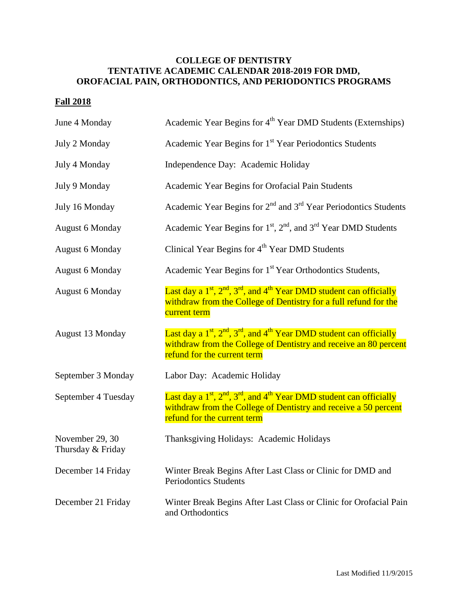## **COLLEGE OF DENTISTRY TENTATIVE ACADEMIC CALENDAR 2018-2019 FOR DMD, OROFACIAL PAIN, ORTHODONTICS, AND PERIODONTICS PROGRAMS**

## **Fall 2018**

| June 4 Monday                        | Academic Year Begins for 4 <sup>th</sup> Year DMD Students (Externships)                                                                                                                    |
|--------------------------------------|---------------------------------------------------------------------------------------------------------------------------------------------------------------------------------------------|
| July 2 Monday                        | Academic Year Begins for 1 <sup>st</sup> Year Periodontics Students                                                                                                                         |
| July 4 Monday                        | Independence Day: Academic Holiday                                                                                                                                                          |
| July 9 Monday                        | Academic Year Begins for Orofacial Pain Students                                                                                                                                            |
| July 16 Monday                       | Academic Year Begins for $2nd$ and $3rd$ Year Periodontics Students                                                                                                                         |
| <b>August 6 Monday</b>               | Academic Year Begins for $1st$ , $2nd$ , and $3rd$ Year DMD Students                                                                                                                        |
| <b>August 6 Monday</b>               | Clinical Year Begins for 4 <sup>th</sup> Year DMD Students                                                                                                                                  |
| <b>August 6 Monday</b>               | Academic Year Begins for 1 <sup>st</sup> Year Orthodontics Students,                                                                                                                        |
| <b>August 6 Monday</b>               | Last day a $1st$ , $2nd$ , $3rd$ , and $4th$ Year DMD student can officially<br>withdraw from the College of Dentistry for a full refund for the<br>current term                            |
| August 13 Monday                     | Last day a $1^{st}$ , $2^{nd}$ , $3^{rd}$ , and $4^{th}$ Year DMD student can officially<br>withdraw from the College of Dentistry and receive an 80 percent<br>refund for the current term |
| September 3 Monday                   | Labor Day: Academic Holiday                                                                                                                                                                 |
| September 4 Tuesday                  | Last day a $1^{st}$ , $2^{nd}$ , $3^{rd}$ , and $4^{th}$ Year DMD student can officially<br>withdraw from the College of Dentistry and receive a 50 percent<br>refund for the current term  |
| November 29, 30<br>Thursday & Friday | Thanksgiving Holidays: Academic Holidays                                                                                                                                                    |
| December 14 Friday                   | Winter Break Begins After Last Class or Clinic for DMD and<br><b>Periodontics Students</b>                                                                                                  |
| December 21 Friday                   | Winter Break Begins After Last Class or Clinic for Orofacial Pain<br>and Orthodontics                                                                                                       |